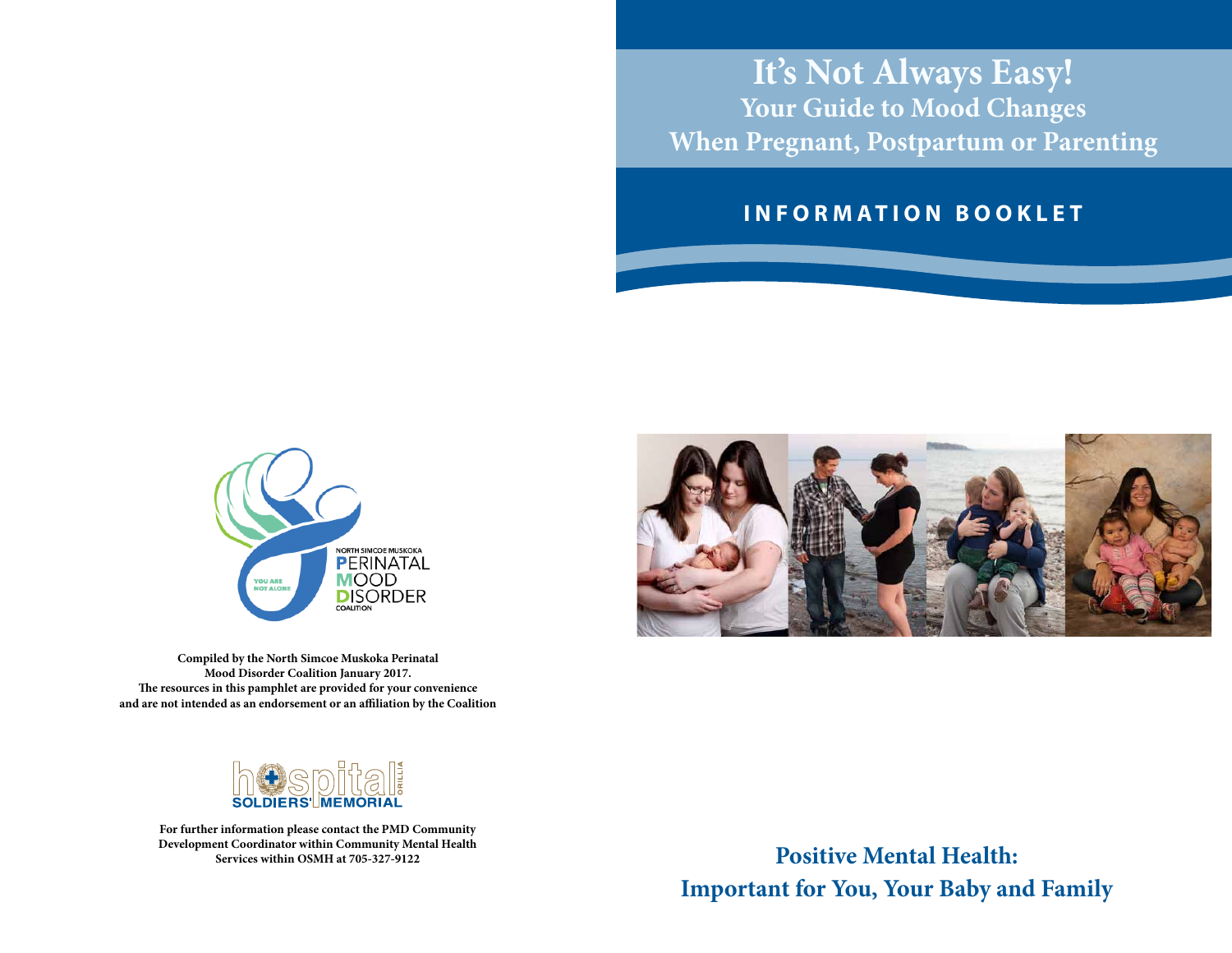# **It's Not Always Easy! Your Guide to Mood Changes When Pregnant, Postpartum or Parenting**

#### **I N F O R M A T I O N B O O K L E T**



**Compiled by the North Simcoe Muskoka Perinatal Mood Disorder Coalition January 2017. The resources in this pamphlet are provided for your convenience and are not intended as an endorsement or an affiliation by the Coalition**



**For further information please contact the PMD Community Development Coordinator within Community Mental Health Services within OSMH at 705-327-9122**



**Positive Mental Health: Important for You, Your Baby and Family**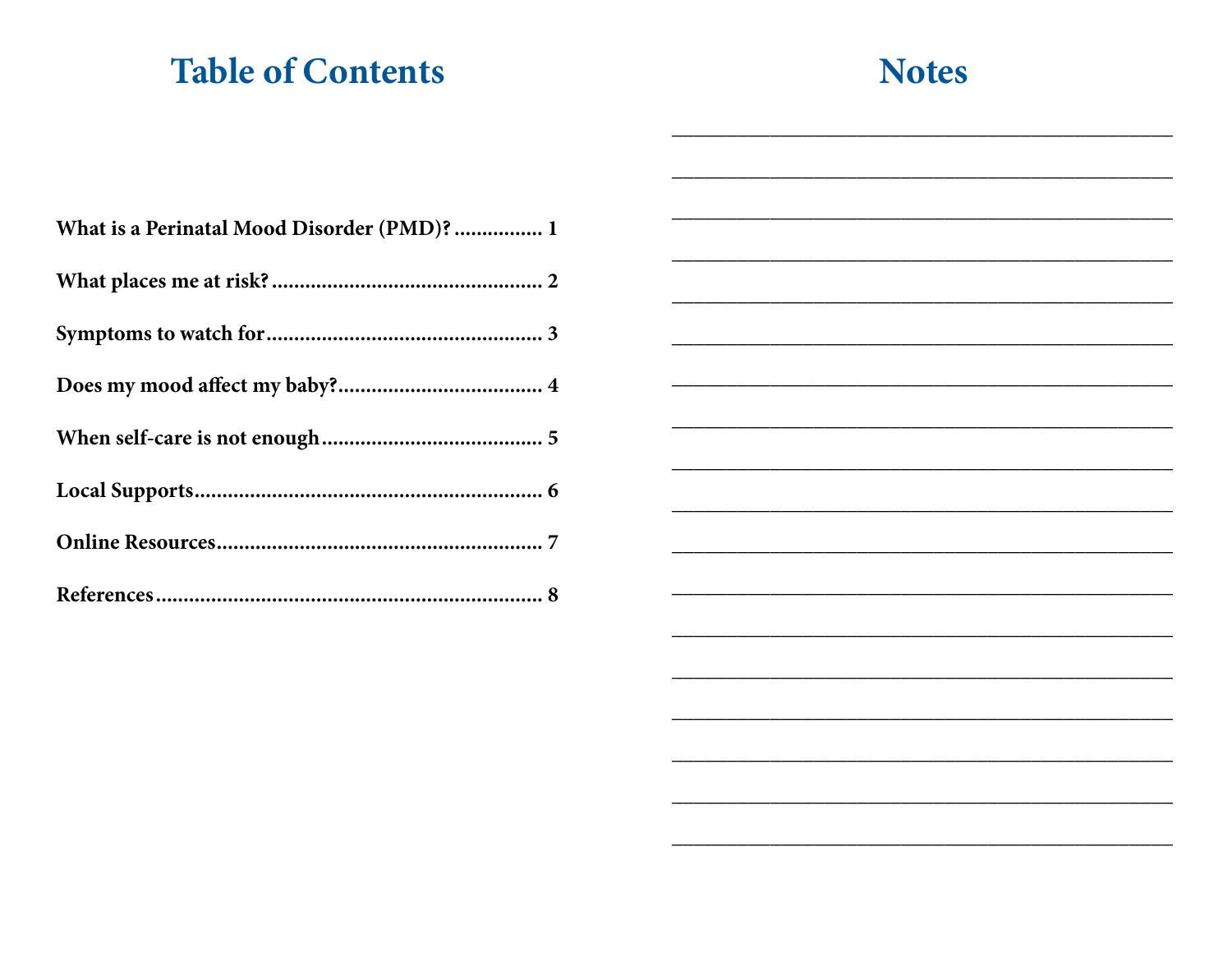# **Table of Contents**

# **Notes**

| What is a Perinatal Mood Disorder (PMD)? 1 |
|--------------------------------------------|
|                                            |
|                                            |
|                                            |
|                                            |
|                                            |
|                                            |
|                                            |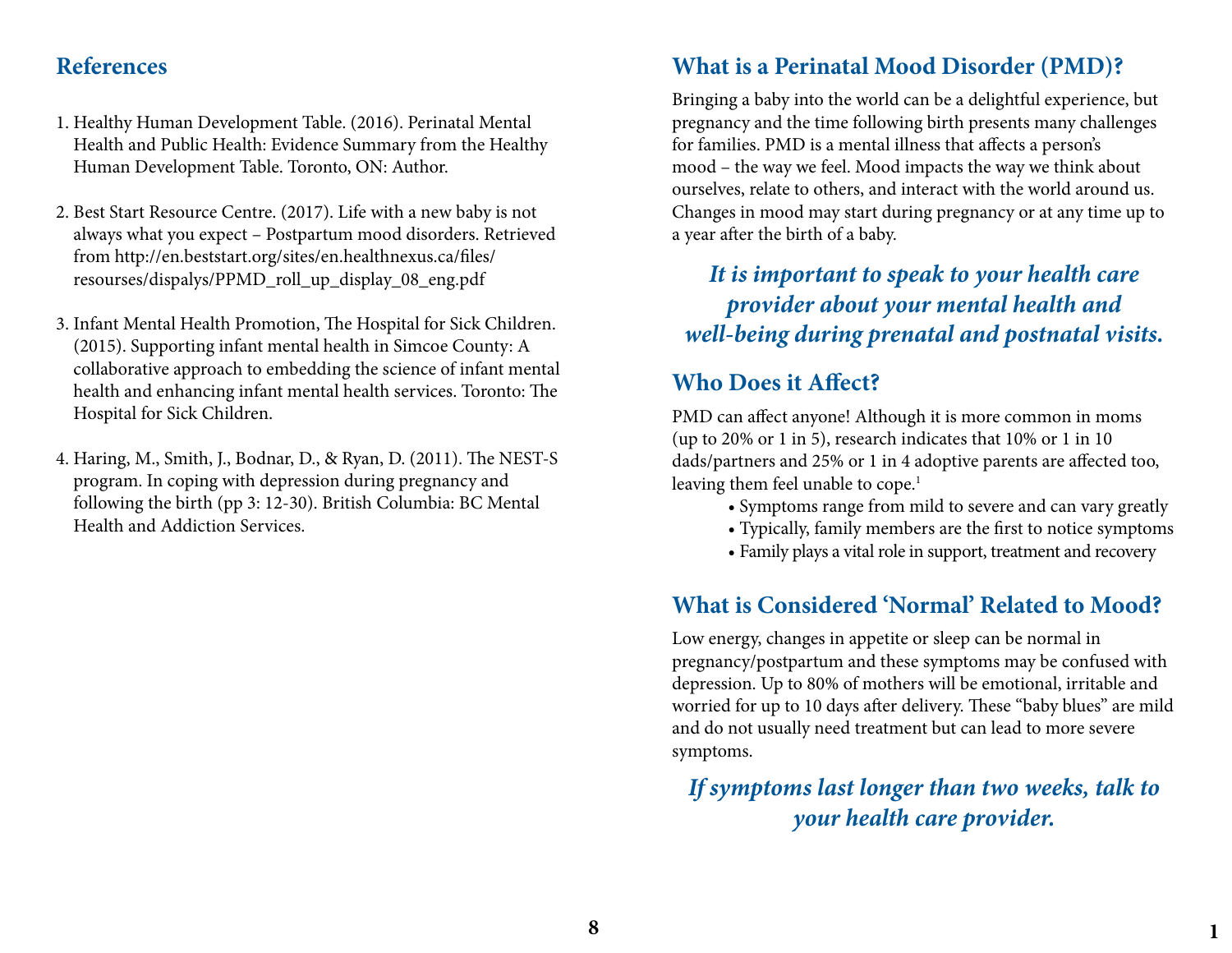#### **References**

- 1. Healthy Human Development Table. (2016). Perinatal Mental Health and Public Health: Evidence Summary from the Healthy Human Development Table. Toronto, ON: Author.
- 2. Best Start Resource Centre. (2017). Life with a new baby is not always what you expect – Postpartum mood disorders. Retrieved from http://en.beststart.org/sites/en.healthnexus.ca/files/ resourses/dispalys/PPMD\_roll\_up\_display\_08\_eng.pdf
- 3. Infant Mental Health Promotion, The Hospital for Sick Children. (2015). Supporting infant mental health in Simcoe County: A collaborative approach to embedding the science of infant mental health and enhancing infant mental health services. Toronto: The Hospital for Sick Children.
- 4. Haring, M., Smith, J., Bodnar, D., & Ryan, D. (2011). The NEST-S program. In coping with depression during pregnancy and following the birth (pp 3: 12-30). British Columbia: BC Mental Health and Addiction Services.

#### **What is a Perinatal Mood Disorder (PMD)?**

Bringing a baby into the world can be a delightful experience, but pregnancy and the time following birth presents many challenges for families. PMD is a mental illness that affects a person's mood – the way we feel. Mood impacts the way we think about ourselves, relate to others, and interact with the world around us. Changes in mood may start during pregnancy or at any time up to a year after the birth of a baby.

*It is important to speak to your health care provider about your mental health and well-being during prenatal and postnatal visits.*

## **Who Does it Affect?**

PMD can affect anyone! Although it is more common in moms (up to 20% or 1 in 5), research indicates that 10% or 1 in 10 dads/partners and 25% or 1 in 4 adoptive parents are affected too, leaving them feel unable to cope.<sup>1</sup>

- Symptoms range from mild to severe and can vary greatly
- Typically, family members are the first to notice symptoms
- Family plays a vital role in support, treatment and recovery

#### **What is Considered 'Normal' Related to Mood?**

Low energy, changes in appetite or sleep can be normal in pregnancy/postpartum and these symptoms may be confused with depression. Up to 80% of mothers will be emotional, irritable and worried for up to 10 days after delivery. These "baby blues" are mild and do not usually need treatment but can lead to more severe symptoms.

*If symptoms last longer than two weeks, talk to your health care provider.*

**1**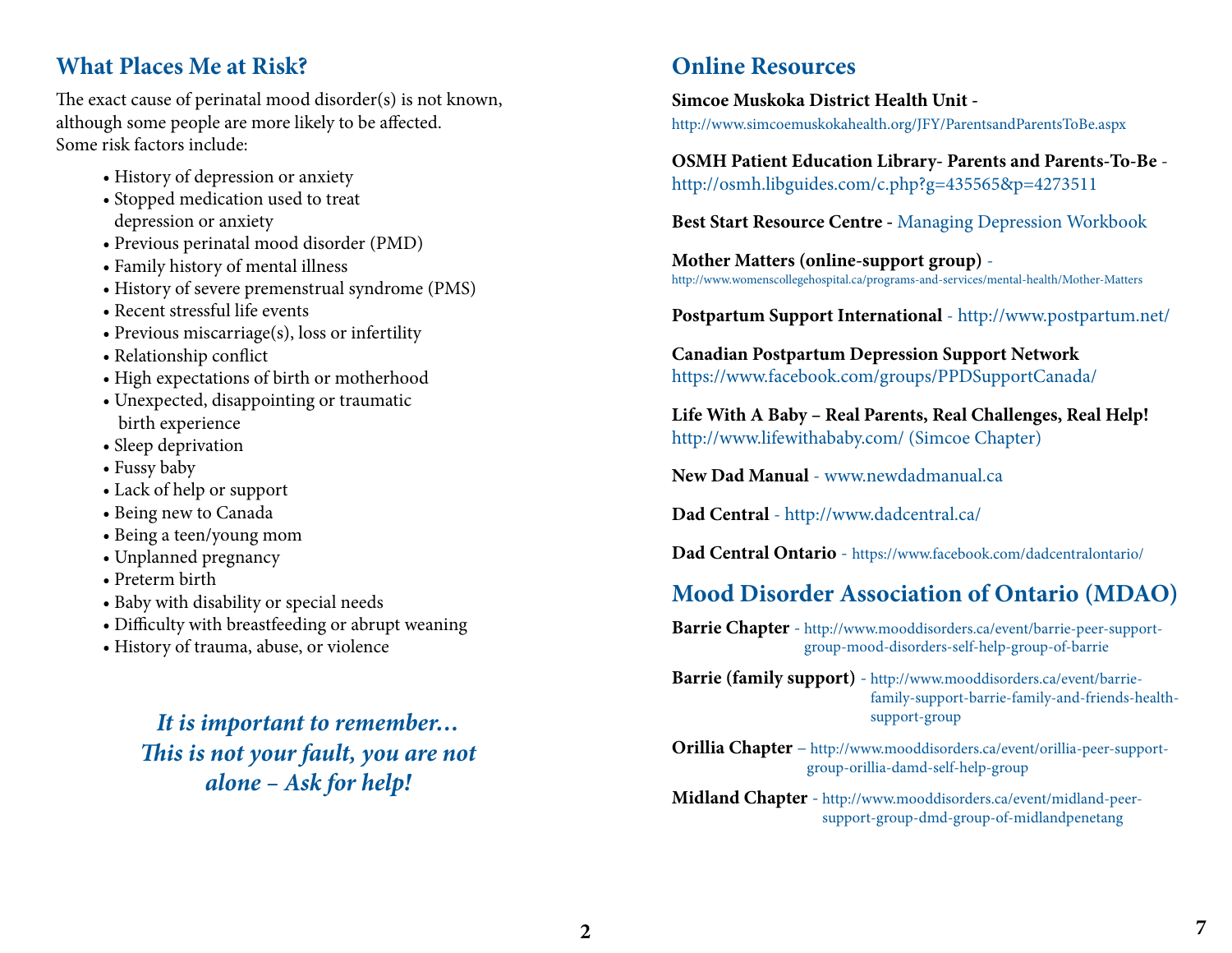#### **What Places Me at Risk?**

The exact cause of perinatal mood disorder(s) is not known, although some people are more likely to be affected. Some risk factors include:

- History of depression or anxiety
- Stopped medication used to treat depression or anxiety
- Previous perinatal mood disorder (PMD)
- Family history of mental illness
- History of severe premenstrual syndrome (PMS)
- Recent stressful life events
- Previous miscarriage(s), loss or infertility
- Relationship conflict
- High expectations of birth or motherhood
- Unexpected, disappointing or traumatic birth experience
- Sleep deprivation
- Fussy baby
- Lack of help or support
- Being new to Canada
- Being a teen/young mom
- Unplanned pregnancy
- Preterm birth
- Baby with disability or special needs
- Difficulty with breastfeeding or abrupt weaning
- History of trauma, abuse, or violence

*It is important to remember… This is not your fault, you are not alone – Ask for help!*

#### **Online Resources**

**Simcoe Muskoka District Health Unit**  http://www.simcoemuskokahealth.org/JFY/ParentsandParentsToBe.aspx

#### **OSMH Patient Education Library- Parents and Parents-To-Be** http://osmh.libguides.com/c.php?g=435565&p=4273511

**Best Start Resource Centre -** Managing Depression Workbook

**Mother Matters (online-support group)** http://www.womenscollegehospital.ca/programs-and-services/mental-health/Mother-Matters

**Postpartum Support International** - http://www.postpartum.net/

**Canadian Postpartum Depression Support Network** https://www.facebook.com/groups/PPDSupportCanada/

**Life With A Baby – Real Parents, Real Challenges, Real Help!** http://www.lifewithababy.com/ (Simcoe Chapter)

**New Dad Manual** - www.newdadmanual.ca

**Dad Central** - http://www.dadcentral.ca/

**Dad Central Ontario** - https://www.facebook.com/dadcentralontario/

## **Mood Disorder Association of Ontario (MDAO)**

**Barrie Chapter** - http://www.mooddisorders.ca/event/barrie-peer-supportgroup-mood-disorders-self-help-group-of-barrie

**Barrie (family support)** - http://www.mooddisorders.ca/event/barriefamily-support-barrie-family-and-friends-healthsupport-group

**Orillia Chapter** – http://www.mooddisorders.ca/event/orillia-peer-supportgroup-orillia-damd-self-help-group

**Midland Chapter** - http://www.mooddisorders.ca/event/midland-peersupport-group-dmd-group-of-midlandpenetang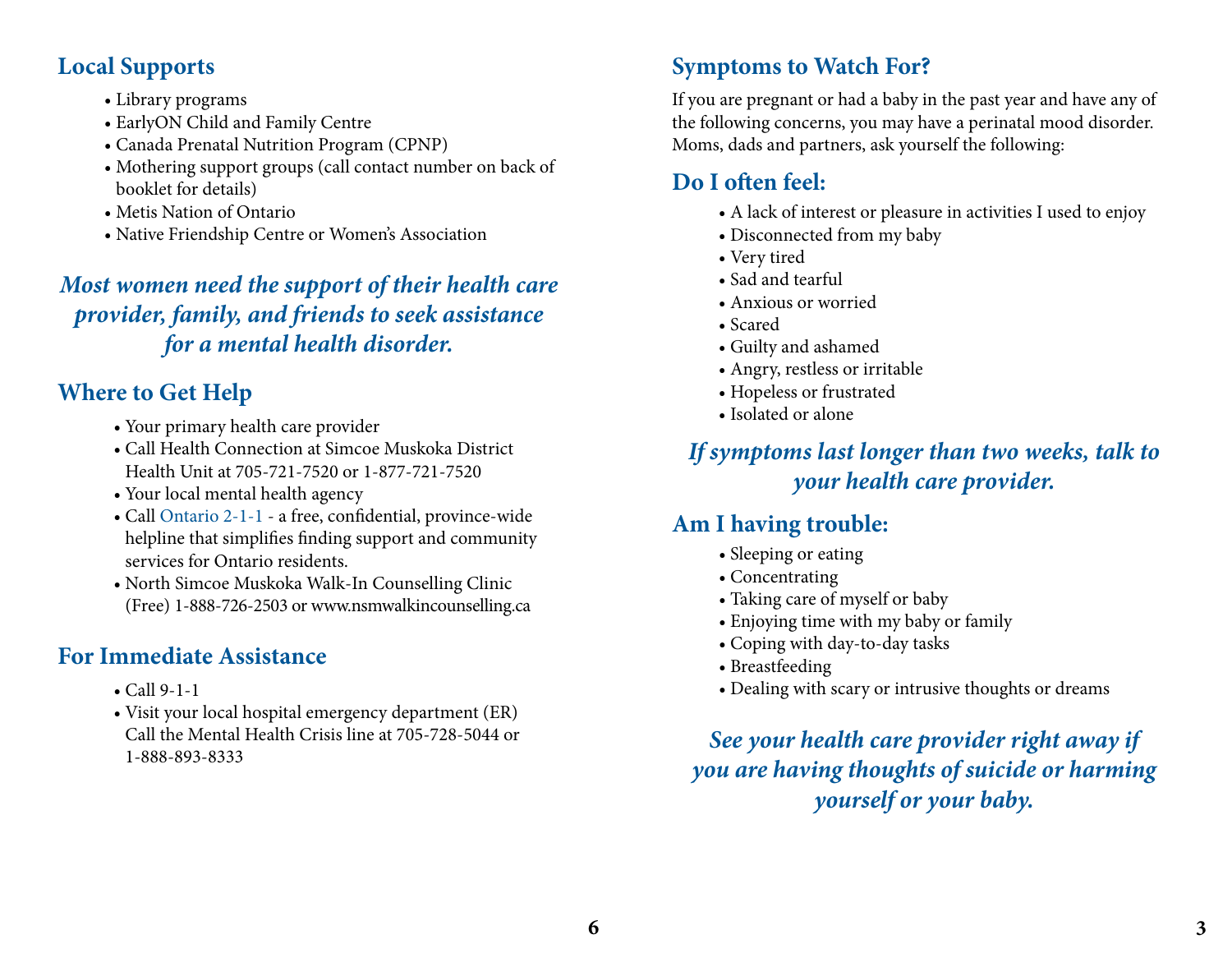#### **Local Supports**

- Library programs
- EarlyON Child and Family Centre
- Canada Prenatal Nutrition Program (CPNP)
- Mothering support groups (call contact number on back of booklet for details)
- Metis Nation of Ontario
- Native Friendship Centre or Women's Association

## *Most women need the support of their health care provider, family, and friends to seek assistance for a mental health disorder.*

# **Where to Get Help**

- Your primary health care provider
- Call Health Connection at Simcoe Muskoka District Health Unit at 705-721-7520 or 1-877-721-7520
- Your local mental health agency
- Call Ontario 2-1-1 a free, confidential, province-wide helpline that simplifies finding support and community services for Ontario residents.
- North Simcoe Muskoka Walk-In Counselling Clinic (Free) 1-888-726-2503 or www.nsmwalkincounselling.ca

## **For Immediate Assistance**

- Call 9-1-1
- Visit your local hospital emergency department (ER) Call the Mental Health Crisis line at 705-728-5044 or 1-888-893-8333

# **Symptoms to Watch For?**

If you are pregnant or had a baby in the past year and have any of the following concerns, you may have a perinatal mood disorder. Moms, dads and partners, ask yourself the following:

# **Do I often feel:**

- A lack of interest or pleasure in activities I used to enjoy
- Disconnected from my baby
- Very tired
- Sad and tearful
- Anxious or worried
- Scared
- Guilty and ashamed
- Angry, restless or irritable
- Hopeless or frustrated
- Isolated or alone

*If symptoms last longer than two weeks, talk to your health care provider.*

# **Am I having trouble:**

- Sleeping or eating
- Concentrating
- Taking care of myself or baby
- Enjoying time with my baby or family
- Coping with day-to-day tasks
- Breastfeeding
- Dealing with scary or intrusive thoughts or dreams

*See your health care provider right away if you are having thoughts of suicide or harming yourself or your baby.*